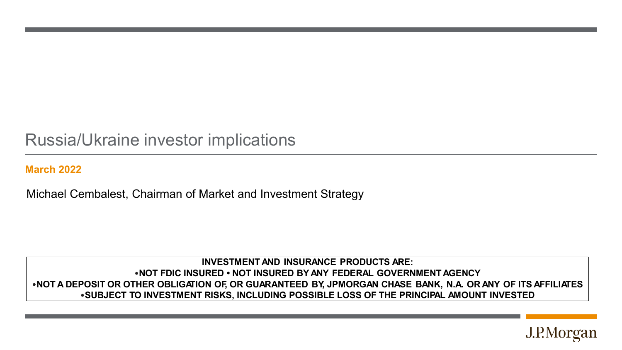# Russia/Ukraine investor implications

**March 2022**

Michael Cembalest, Chairman of Market and Investment Strategy

**INVESTMENT AND INSURANCE PRODUCTS ARE:** •**NOT FDIC INSURED • NOT INSURED BY ANY FEDERAL GOVERNMENT AGENCY** • NOT A DEPOSIT OR OTHER OBLIGATION OF, OR GUARANTEED BY, JPMORGAN CHASE BANK, N.A. OR ANY OF ITS AFFILIATES •**SUBJECT TO INVESTMENT RISKS, INCLUDING POSSIBLE LOSS OF THE PRINCIPAL AMOUNT INVESTED**

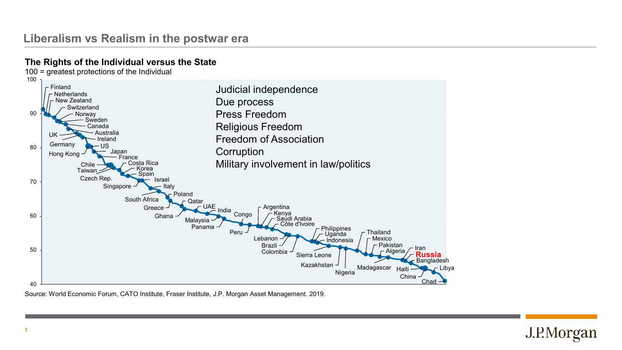### **Liberalism vs Realism in the postwar era**

### **The Rights of the Individual versus the State**

100 = greatest protections of the Individual



Source: World Economic Forum, CATO Institute, Fraser Institute, J.P. Morgan Asset Management. 2019.

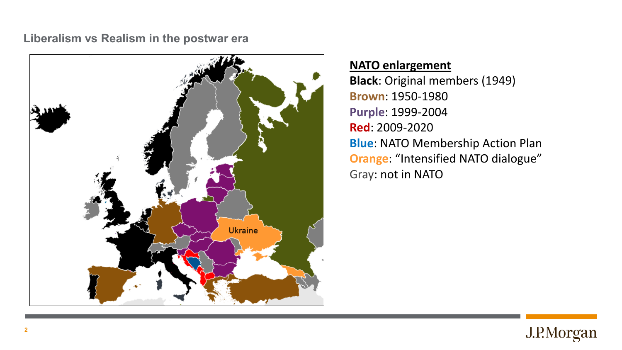### **Liberalism vs Realism in the postwar era**



## **NATO enlargement**

**Black**: Original members (1949) **Brown**: 1950-1980 **Purple**: 1999-2004 **Red**: 2009-2020 **Blue**: NATO Membership Action Plan **Orange**: "Intensified NATO dialogue" Gray: not in NATO

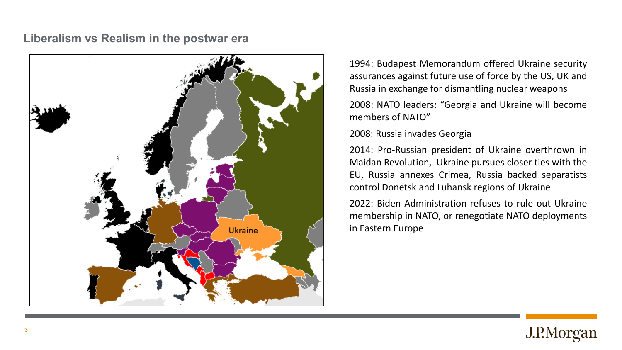### **Liberalism vs Realism in the postwar era**



1994: Budapest Memorandum offered Ukraine security assurances against future use of force by the US, UK and Russia in exchange for dismantling nuclear weapons

2008: NATO leaders: "Georgia and Ukraine will become members of NATO"

### 2008: Russia invades Georgia

2014: Pro-Russian president of Ukraine overthrown in Maidan Revolution, Ukraine pursues closer ties with the EU, Russia annexes Crimea, Russia backed separatists control Donetsk and Luhansk regions of Ukraine

2022: Biden Administration refuses to rule out Ukraine membership in NATO, or renegotiate NATO deployments in Eastern Europe

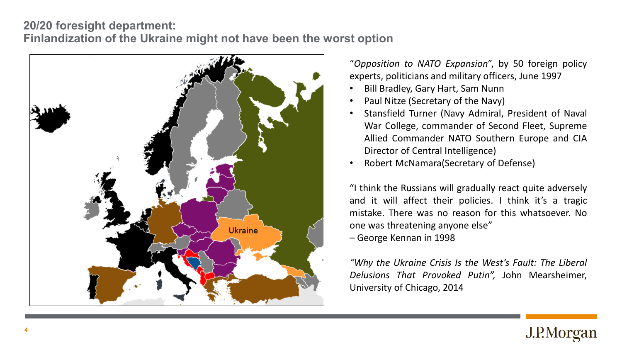### **20/20 foresight department: Finlandization of the Ukraine might not have been the worst option**



"*Opposition to NATO Expansion*", by 50 foreign policy experts, politicians and military officers, June 1997

- Bill Bradley, Gary Hart, Sam Nunn
- Paul Nitze (Secretary of the Navy)
- Stansfield Turner (Navy Admiral, President of Naval War College, commander of Second Fleet, Supreme Allied Commander NATO Southern Europe and CIA Director of Central Intelligence)
- Robert McNamara(Secretary of Defense)

"I think the Russians will gradually react quite adversely and it will affect their policies. I think it's a tragic mistake. There was no reason for this whatsoever. No one was threatening anyone else"

– George Kennan in 1998

*"Why the Ukraine Crisis Is the West's Fault: The Liberal Delusions That Provoked Putin",* John Mearsheimer, University of Chicago, 2014

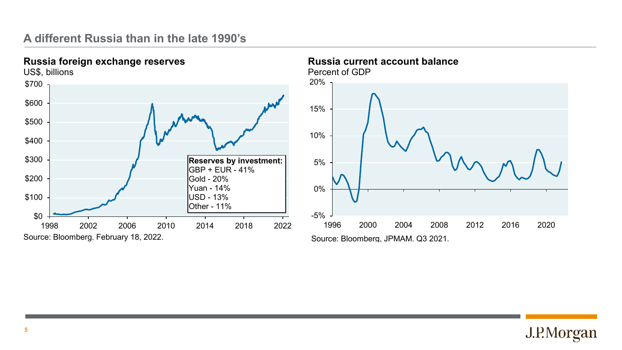### **A different Russia than in the late 1990's**

\$0 \$100 \$200 \$300 \$400 \$500 \$600 \$700 1998 2002 2006 2010 2014 2018 2022 **Russia foreign exchange reserves** US\$, billions Source: Bloomberg. February 18, 2022. **Reserves by investment:**  $\overline{ABP}$  + EUR - 41% Gold - 20% Yuan - 14% USD - 13% Other - 11%

# -5% 0% 5% 10% 15% 20% 1996 2000 2004 2008 2012 2016 2020 **Russia current account balance** Percent of GDP

Source: Bloomberg, JPMAM. Q3 2021.

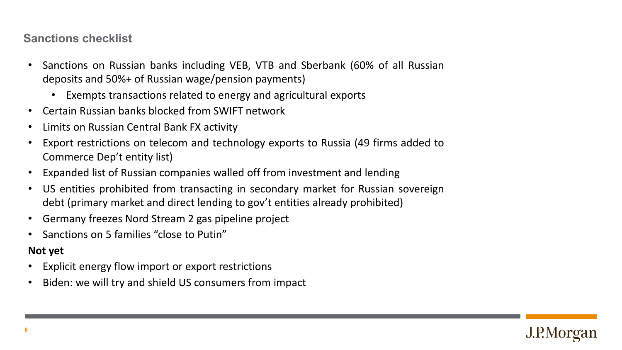### **Sanctions checklist**

- Sanctions on Russian banks including VEB, VTB and Sberbank (60% of all Russian deposits and 50%+ of Russian wage/pension payments)
	- Exempts transactions related to energy and agricultural exports
- Certain Russian banks blocked from SWIFT network
- Limits on Russian Central Bank FX activity
- Export restrictions on telecom and technology exports to Russia (49 firms added to Commerce Dep't entity list)
- Expanded list of Russian companies walled off from investment and lending
- US entities prohibited from transacting in secondary market for Russian sovereign debt (primary market and direct lending to gov't entities already prohibited)
- Germany freezes Nord Stream 2 gas pipeline project
- Sanctions on 5 families "close to Putin"

### **Not yet**

- Explicit energy flow import or export restrictions
- Biden: we will try and shield US consumers from impact

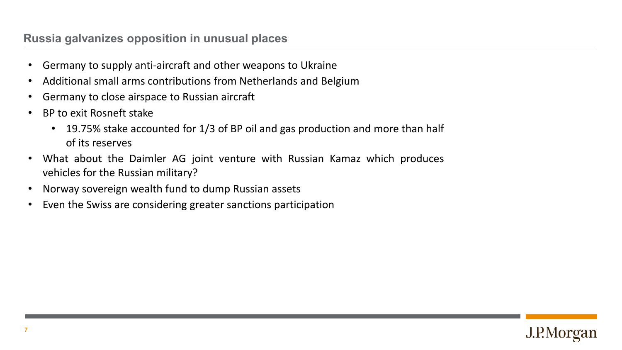### **Russia galvanizes opposition in unusual places**

- Germany to supply anti-aircraft and other weapons to Ukraine
- Additional small arms contributions from Netherlands and Belgium
- Germany to close airspace to Russian aircraft
- BP to exit Rosneft stake
	- 19.75% stake accounted for 1/3 of BP oil and gas production and more than half of its reserves
- What about the Daimler AG joint venture with Russian Kamaz which produces vehicles for the Russian military?
- Norway sovereign wealth fund to dump Russian assets
- Even the Swiss are considering greater sanctions participation

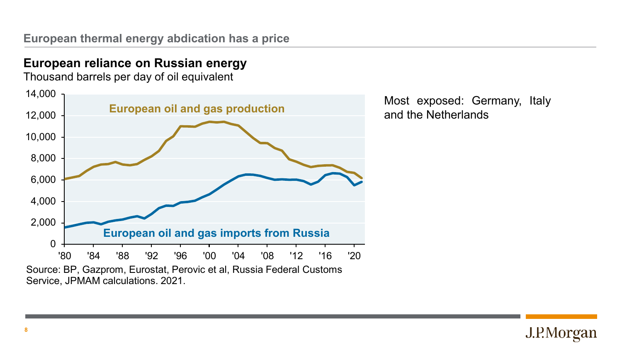# **European reliance on Russian energy**

Thousand barrels per day of oil equivalent



Most exposed: Germany, Italy and the Netherlands

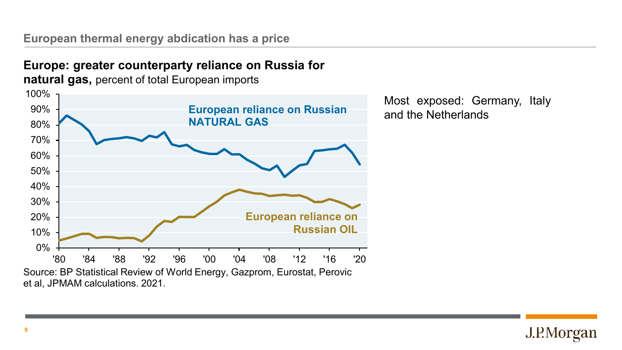### **European thermal energy abdication has a price**



# **Europe: greater counterparty reliance on Russia for**

Most exposed: Germany, Italy and the Netherlands

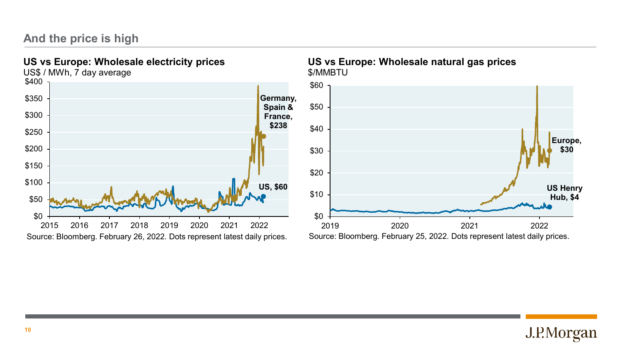### **And the price is high**



### **US vs Europe: Wholesale electricity prices**

**US vs Europe: Wholesale natural gas prices** \$/MMBTU



Source: Bloomberg. February 25, 2022. Dots represent latest daily prices.

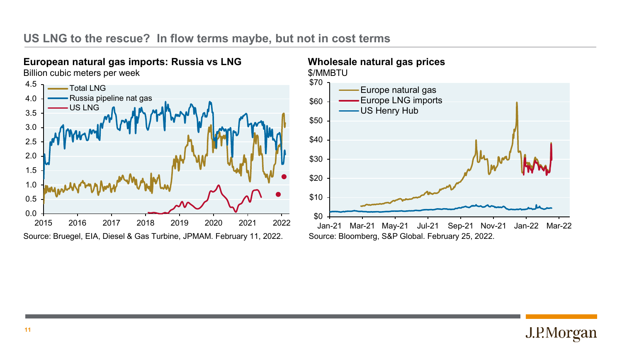## **US LNG to the rescue? In flow terms maybe, but not in cost terms**



Source: Bruegel, EIA, Diesel & Gas Turbine, JPMAM. February 11, 2022.



Source: Bloomberg, S&P Global. February 25, 2022.

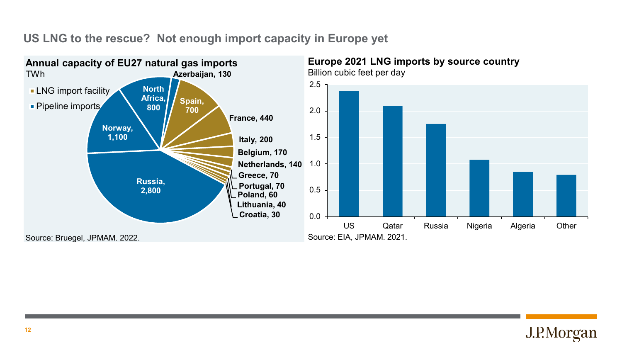### **US LNG to the rescue? Not enough import capacity in Europe yet**





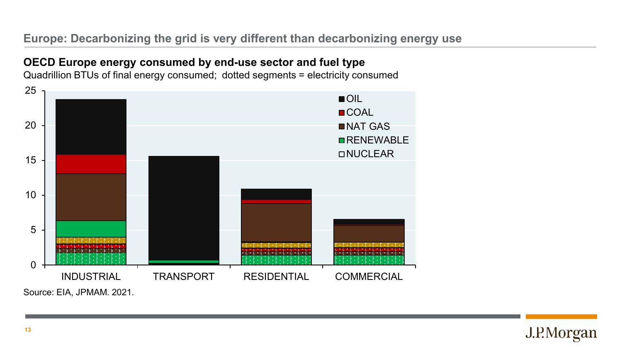## **Europe: Decarbonizing the grid is very different than decarbonizing energy use**

### **OECD Europe energy consumed by end-use sector and fuel type**

Quadrillion BTUs of final energy consumed; dotted segments = electricity consumed





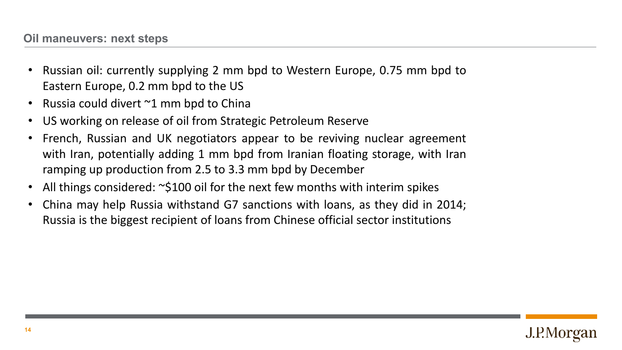### **Oil maneuvers: next steps**

- Russian oil: currently supplying 2 mm bpd to Western Europe, 0.75 mm bpd to Eastern Europe, 0.2 mm bpd to the US
- Russia could divert  $\sim$ 1 mm bpd to China
- US working on release of oil from Strategic Petroleum Reserve
- French, Russian and UK negotiators appear to be reviving nuclear agreement with Iran, potentially adding 1 mm bpd from Iranian floating storage, with Iran ramping up production from 2.5 to 3.3 mm bpd by December
- All things considered: ~\$100 oil for the next few months with interim spikes
- China may help Russia withstand G7 sanctions with loans, as they did in 2014; Russia is the biggest recipient of loans from Chinese official sector institutions

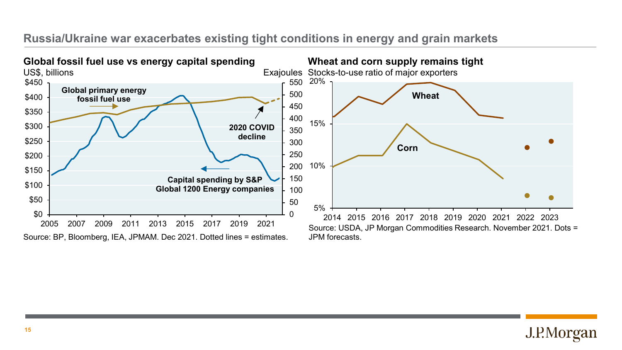### **Russia/Ukraine war exacerbates existing tight conditions in energy and grain markets**



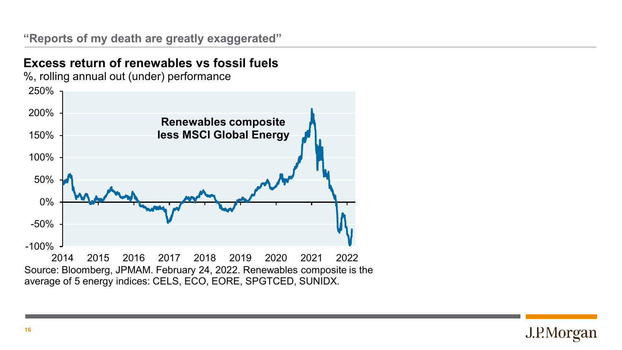# **Excess return of renewables vs fossil fuels**

%, rolling annual out (under) performance



Source: Bloomberg, JPMAM. February 24, 2022. Renewables composite is the average of 5 energy indices: CELS, ECO, EORE, SPGTCED, SUNIDX.

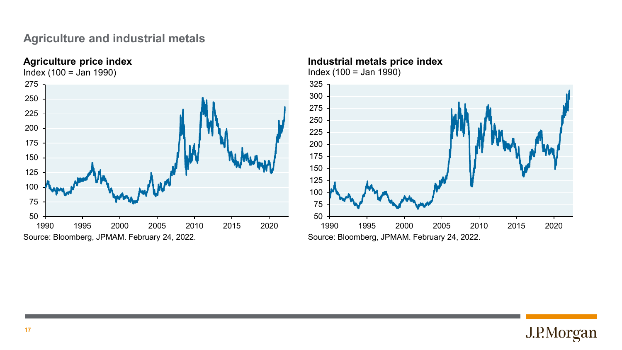## **Agriculture and industrial metals**

**Agriculture price index**

 $\begin{array}{c} 50 + 1990 \end{array}$  1995 2000 2005 2010 2015 2020 Index (100 = Jan 1990)

Source: Bloomberg, JPMAM. February 24, 2022.

**Industrial metals price index** Index (100 = Jan 1990)



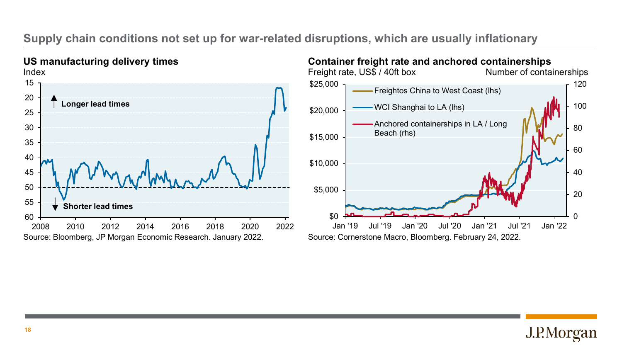### **Supply chain conditions not set up for war-related disruptions, which are usually inflationary**





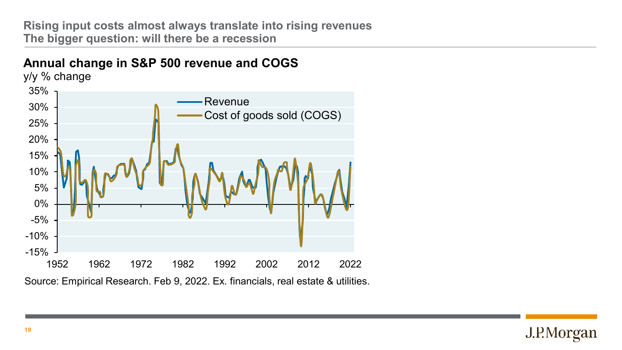**Rising input costs almost always translate into rising revenues The bigger question: will there be a recession**

## **Annual change in S&P 500 revenue and COGS**

y/y % change



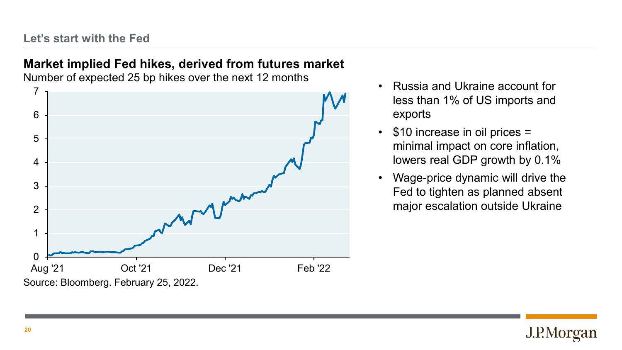**Market implied Fed hikes, derived from futures market** 

Number of expected 25 bp hikes over the next 12 months



- Russia and Ukraine account for less than 1% of US imports and exports
- \$10 increase in oil prices = minimal impact on core inflation, lowers real GDP growth by 0.1%
- Wage-price dynamic will drive the Fed to tighten as planned absent major escalation outside Ukraine

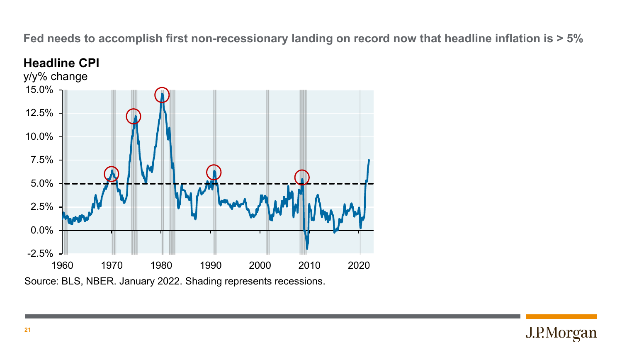### **Fed needs to accomplish first non-recessionary landing on record now that headline inflation is > 5%**



J.P.Morgan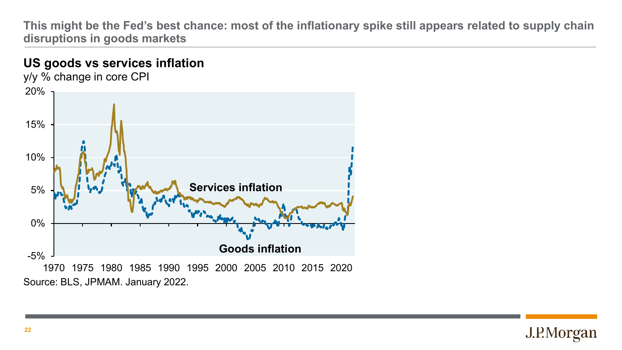**This might be the Fed's best chance: most of the inflationary spike still appears related to supply chain disruptions in goods markets**

## **US goods vs services inflation**



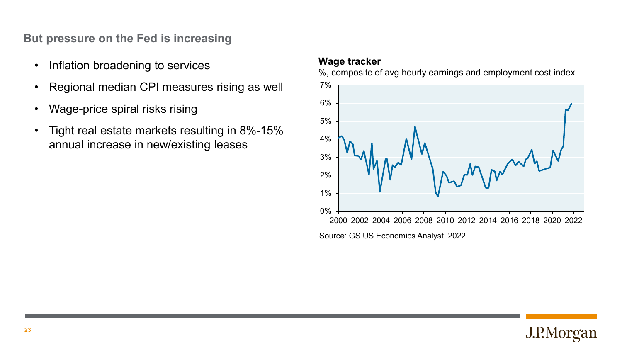### **But pressure on the Fed is increasing**

- Inflation broadening to services
- Regional median CPI measures rising as well
- Wage-price spiral risks rising
- Tight real estate markets resulting in 8%-15% annual increase in new/existing leases

### **Wage tracker**

%, composite of avg hourly earnings and employment cost index



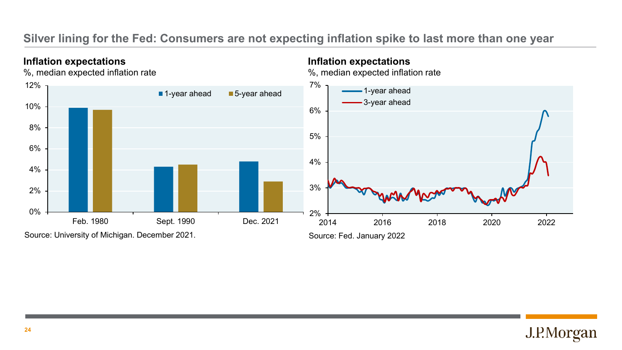### **Silver lining for the Fed: Consumers are not expecting inflation spike to last more than one year**



### **Inflation expectations**

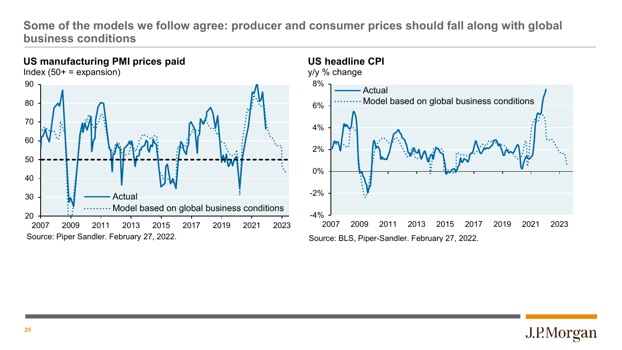### **Some of the models we follow agree: producer and consumer prices should fall along with global business conditions**





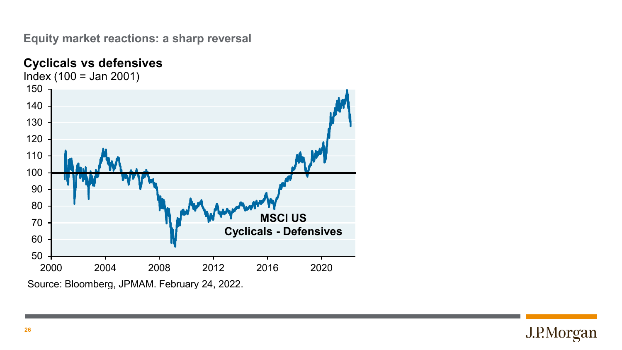### **Equity market reactions: a sharp reversal**

### 2004 2008 2012 2016 2020 **Cyclicals vs defensives** Index (100 = Jan 2001) Source: Bloomberg, JPMAM. February 24, 2022. **MSCI US Cyclicals - Defensives**

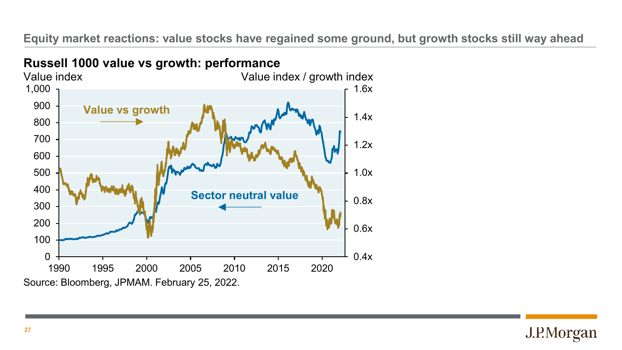**Equity market reactions: value stocks have regained some ground, but growth stocks still way ahead**

### 0.4x 0.6x 0.8x 1.0x 1.2x 1.4x 1.6x 0 100 200 300 400 500 600 700 800 900 1,000 1990 1995 2000 2005 2010 2015 2020 Value index Value index / growth index Source: Bloomberg, JPMAM. February 25, 2022. **Sector neutral value Value vs growth**



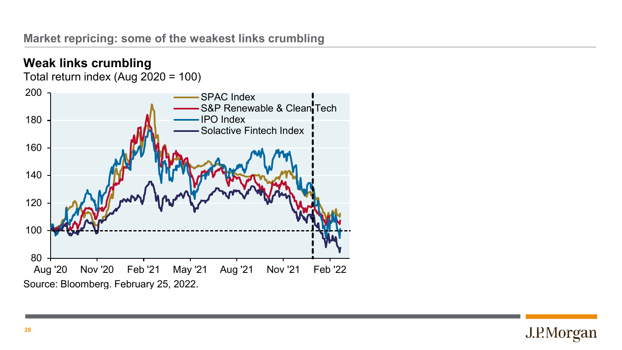### **Market repricing: some of the weakest links crumbling**



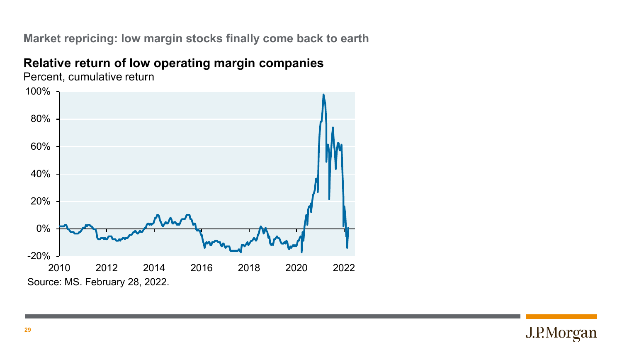## **Relative return of low operating margin companies**

Percent, cumulative return



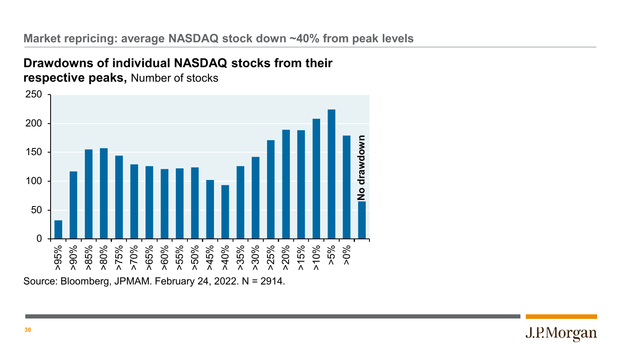## **Drawdowns of individual NASDAQ stocks from their respective peaks,** Number of stocks

250 200 No drawdown **No drawdown**150 100 50 0 >90% >85% >80% >75% >70% >65% >60% >55% >50% >45% >40% >35% >30% >25% >20% >15% >10% >95% >5% >0%

Source: Bloomberg, JPMAM. February 24, 2022. N = 2914.

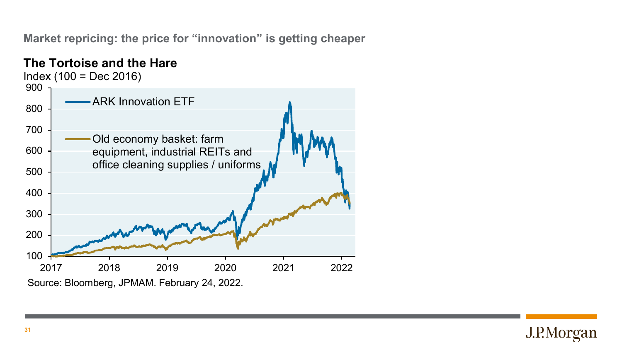### 100 200 300 400 500 600 700 800 900 2017 2018 2019 2020 2021 2022 ARK Innovation ETF Old economy basket: farm equipment, industrial REITs and office cleaning supplies / uniforms **The Tortoise and the Hare** Index (100 = Dec 2016) Source: Bloomberg, JPMAM. February 24, 2022.

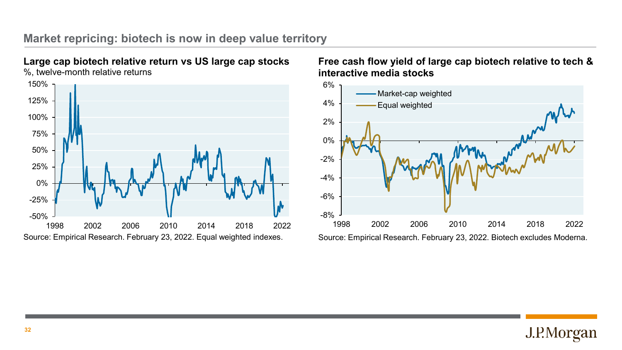## **Market repricing: biotech is now in deep value territory**

**Large cap biotech relative return vs US large cap stocks** %, twelve-month relative returns



### **Free cash flow yield of large cap biotech relative to tech & interactive media stocks**



Source: Empirical Research. February 23, 2022. Biotech excludes Moderna.

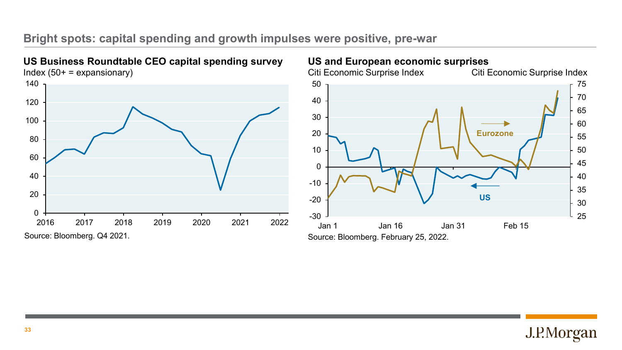### **Bright spots: capital spending and growth impulses were positive, pre-war**





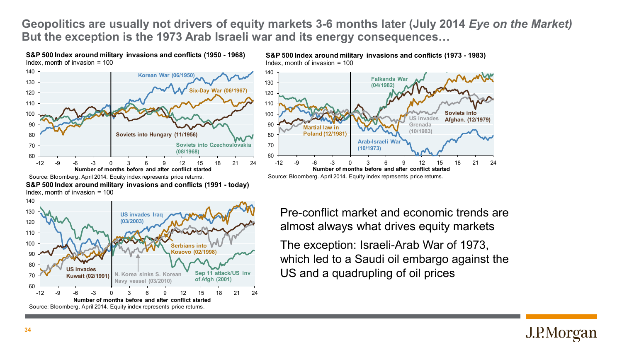### **Geopolitics are usually not drivers of equity markets 3-6 months later (July 2014** *Eye on the Market)* **But the exception is the 1973 Arab Israeli war and its energy consequences…**





Source: Bloomberg. April 2014. Equity index represents price returns.

**S&P 500 Index around military invasions and conflicts (1991 - today)** Index, month of invasion  $= 100$ 



Pre-conflict market and economic trends are almost always what drives equity markets

The exception: Israeli-Arab War of 1973, which led to a Saudi oil embargo against the US and a quadrupling of oil prices

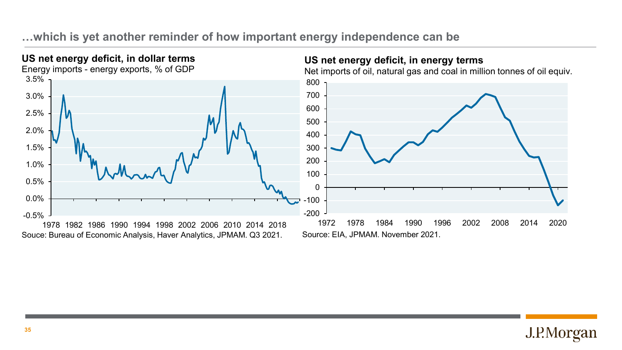**…which is yet another reminder of how important energy independence can be**



Net imports of oil, natural gas and coal in million tonnes of oil equiv.

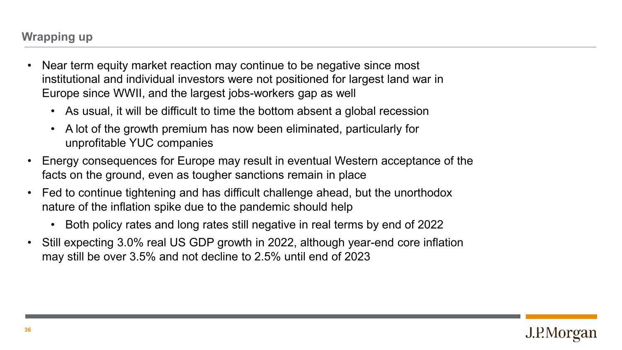## **Wrapping up**

- Near term equity market reaction may continue to be negative since most institutional and individual investors were not positioned for largest land war in Europe since WWII, and the largest jobs-workers gap as well
	- As usual, it will be difficult to time the bottom absent a global recession
	- A lot of the growth premium has now been eliminated, particularly for unprofitable YUC companies
- Energy consequences for Europe may result in eventual Western acceptance of the facts on the ground, even as tougher sanctions remain in place
- Fed to continue tightening and has difficult challenge ahead, but the unorthodox nature of the inflation spike due to the pandemic should help
	- Both policy rates and long rates still negative in real terms by end of 2022
- Still expecting 3.0% real US GDP growth in 2022, although year-end core inflation may still be over 3.5% and not decline to 2.5% until end of 2023

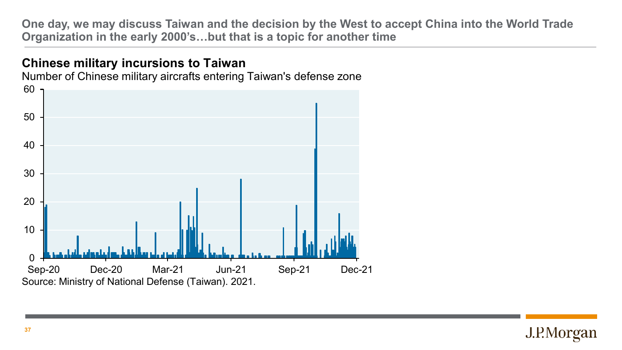**One day, we may discuss Taiwan and the decision by the West to accept China into the World Trade Organization in the early 2000's…but that is a topic for another time**



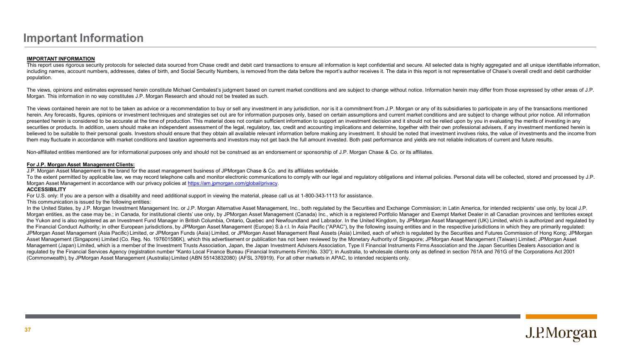#### **IMPORTANT INFORMATION**

This report uses rigorous security protocols for selected data sourced from Chase credit and debit card transactions to ensure all information is kept confidential and secure. All selected data is highly aggregated and all including names, account numbers, addresses, dates of birth, and Social Security Numbers, is removed from the data before the report's author receives it. The data in this report is not representative of Chase's overall cr population.

The views, opinions and estimates expressed herein constitute Michael Cembalest's judgment based on current market conditions and are subject to change without notice. Information herein may differ from those expressed by Morgan. This information in no way constitutes J.P. Morgan Research and should not be treated as such.

The views contained herein are not to be taken as advice or a recommendation to buy or sell any investment in any jurisdiction, nor is it a commitment from J.P. Morgan or any of its subsidiaries to participate in any of th herein. Any forecasts, figures, opinions or investment techniques and strategies set out are for information purposes only, based on certain assumptions and current market conditions and are subject to change without prior presented herein is considered to be accurate at the time of production. This material does not contain sufficient information to support an investment decision and it should not be relied upon by you in evaluating the mer securities or products. In addition, users should make an independent assessment of the legal, regulatory, tax, credit and accounting implications and determine, together with their own professional advisers, if any invest believed to be suitable to their personal goals. Investors should ensure that they obtain all available relevant information before making any investment. It should be noted that investment involves risks, the value of inv them may fluctuate in accordance with market conditions and taxation agreements and investors may not get back the full amount invested. Both past performance and vields are not reliable indicators of current and future re

Non-affiliated entities mentioned are for informational purposes only and should not be construed as an endorsement or sponsorship of J.P. Morgan Chase & Co. or its affiliates.

#### **For J.P. Morgan Asset Management Clients:**

J.P. Morgan Asset Management is the brand for the asset management business of JPMorgan Chase & Co. and its affiliates worldwide.

To the extent permitted by applicable law, we may record telephone calls and monitor electronic communications to comply with our legal and regulatory obligations and internal policies. Personal data will be collected, sto Morgan Asset Management in accordance with our privacy policies at <https://am.jpmorgan.com/global/privacy>.

#### **ACCESSIBILITY**

For U.S. only: If you are a person with a disability and need additional support in viewing the material, please call us at 1-800-343-1113 for assistance.

#### This communication is issued by the following entities:

In the United States, by J.P. Morgan Investment Management Inc. or J.P. Morgan Alternative Asset Management, Inc., both regulated by the Securities and Exchange Commission; in Latin America, for intended recipients' use on Morgan entities, as the case may be.; in Canada, for institutional clients' use only, by JPMorgan Asset Management (Canada) Inc., which is a registered Portfolio Manager and Exempt Market Dealer in all Canadian provinces a the Yukon and is also registered as an Investment Fund Manager in British Columbia, Ontario, Quebec and Newfoundland and Labrador. In the United Kingdom, by JPMorgan Asset Management (UK) Limited, which is authorized and r the Financial Conduct Authority: in other European jurisdictions, by JPMorgan Asset Management (Europe) S.à r.l. In Asia Pacific ("APAC"), by the following issuing entities and in the respective jurisdictions in which they JPMorgan Asset Management (Asia Pacific) Limited, or JPMorgan Funds (Asia) Limited, or JPMorgan Asset Management Real Assets (Asia) Limited, each of which is regulated by the Securities and Futures Commission of Hong Kong: Asset Management (Singapore) Limited (Co. Reg. No. 197601586K), which this advertisement or publication has not been reviewed by the Monetary Authority of Singapore; JPMorgan Asset Management (Taiwan) Limited; JPMorgan Ass Management (Japan) Limited, which is a member of the Investment Trusts Association, Japan, the Japan Investment Advisers Association, Type II Financial Instruments Firms Association and the Japan Securities Dealers Associa regulated by the Financial Services Agency (registration number "Kanto Local Finance Bureau (Financial Instruments Firm) No. 330"); in Australia, to wholesale clients only as defined in section 761A and 761G of the Corpora (Commonwealth), by JPMorgan Asset Management (Australia) Limited (ABN 55143832080) (AFSL 376919). For all other markets in APAC, to intended recipients only.

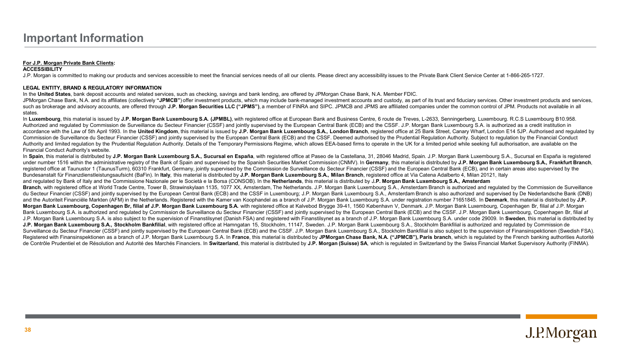#### **For J.P. Morgan Private Bank Clients:**

#### **ACCESSIBILITY**

J.P. Morgan is committed to making our products and services accessible to meet the financial services needs of all our clients. Please direct any accessibility issues to the Private Bank Client Service Center at 1-866-265

#### **LEGAL ENTITY, BRAND & REGULATORY INFORMATION**

In the **United States**, bank deposit accounts and related services, such as checking, savings and bank lending, are offered by JPMorgan Chase Bank, N.A. Member FDIC.

JPMorgan Chase Bank, N.A. and its affiliates (collectively "JPMCB") offer investment products, which may include bank-managed investment accounts and custody, as part of its trust and fiduciary services. Other investment p such as brokerage and advisory accounts, are offered through J.P. Morgan Securities LLC ("JPMS"), a member of FINRA and SIPC, JPMCB and JPMS are affiliated companies under the common control of JPM. Products not available states.

In Luxembourg, this material is issued by J.P. Morgan Bank Luxembourg S.A. (JPMBL), with registered office at European Bank and Business Centre, 6 route de Treves, L-2633, Senningerberg, Luxembourg, R.C.S Luxembourg B10.95 Authorized and requlated by Commission de Surveillance du Secteur Financier (CSSF) and jointly supervised by the European Central Bank (ECB) and the CSSF. J.P. Morgan Bank Luxembourg S.A. is authorized as a credit institut accordance with the Law of 5th April 1993. In the United Kingdom, this material is issued by J.P. Morgan Bank Luxembourg S.A., London Branch, registered office at 25 Bank Street, Canary Wharf, London E14 5JP. Authorised an Commission de Surveillance du Secteur Financier (CSSF) and jointly supervised by the European Central Bank (ECB) and the CSSF. Deemed authorised by the Prudential Regulation Authority. Subject to regulation by the Financia Authority and limited regulation by the Prudential Regulation Authority. Details of the Temporary Permissions Regime, which allows EEA-based firms to operate in the UK for a limited period while seeking full authorisation, Financial Conduct Authority's website.

In Spain, this material is distributed by J.P. Morgan Bank Luxembourg S.A., Sucursal en España, with registered office at Paseo de la Castellana, 31, 28046 Madrid, Spain, J.P. Morgan Bank Luxembourg S.A., Sucursal en Españ under number 1516 within the administrative registry of the Bank of Spain and supervised by the Spanish Securities Market Commission (CNMV). In Germany, this material is distributed by J.P. Morgan Bank Luxembourg S.A., Fra registered office at Taunustor 1 (TaunusTurm), 60310 Frankfurt, Germany, jointly supervised by the Commission de Surveillance du Secteur Financier (CSSF) and the European Central Bank (ECB), and in certain areas also super Bundesanstalt für Finanzdienstleistungsaufsicht (BaFin). In Italy, this material is distributed by J.P. Morgan Bank Luxembourg S.A., Milan Branch, registered office at Via Catena Adalberto 4. Milan 20121, Italy and requiated by Bank of Italy and the Commissione Nazionale per le Società e la Borsa (CONSOB). In the Netherlands, this material is distributed by J.P. Morgan Bank Luxembourg S.A., Amsterdam Branch, with registered office at World Trade Centre, Tower B, Strawinskylaan 1135, 1077 XX, Amsterdam, The Netherlands. J.P. Morgan Bank Luxembourg S.A., Amsterdam Branch is authorized and regulated by the Commission de S du Secteur Financier (CSSF) and jointly supervised by the European Central Bank (ECB) and the CSSF in Luxembourg; J.P. Morgan Bank Luxembourg S.A., Amsterdam Branch is also authorized and supervised by De Nederlandsche Ban and the Autoriteit Financiële Markten (AFM) in the Netherlands. Registered with the Kamer van Koophandel as a branch of J.P. Morgan Bank Luxembourg S.A. under registration number 71651845. In Denmark, this material is dist Morgan Bank Luxembourg. Copenhagen Br. filial af J.P. Morgan Bank Luxembourg S.A. with registered office at Kalvebod Brygge 39-41, 1560 Københayn V. Denmark, J.P. Morgan Bank Luxembourg, Copenhagen Br. filial af J.P. Morga Bank Luxembourg S.A. is authorized and regulated by Commission de Surveillance du Secteur Financier (CSSF) and jointly supervised by the European Central Bank (ECB) and the CSSF. J.P. Morgan Bank Luxembourg, Copenhagen Br, J.P. Morgan Bank Luxembourg S.A. is also subject to the supervision of Finanstilsynet (Danish FSA) and registered with Finanstilsynet as a branch of J.P. Morgan Bank Luxembourg S.A. under code 29009. In Sweden, this materi J.P. Morgan Bank Luxembourg S.A., Stockholm Bankfilial, with registered office at Hamngatan 15, Stockholm, 11147, Sweden. J.P. Morgan Bank Luxembourg S.A., Stockholm Bankfilial is authorized and regulated by Commission de Surveillance du Secteur Financier (CSSF) and jointly supervised by the European Central Bank (ECB) and the CSSF. J.P. Morgan Bank Luxembourg S.A., Stockholm Bankfilial is also subject to the supervision of Finansinspektion Registered with Finansinspektionen as a branch of J.P. Morgan Bank Luxembourg S.A. In France, this material is distributed by JPMorgan Chase Bank, N.A. ("JPMCB"), Paris branch, which is regulated by the French banking auth de Contrôle Prudentiel et de Résolution and Autorité des Marchés Financiers. In Switzerland, this material is distributed by J.P. Morgan (Suisse) SA, which is requiated in Switzerland by the Swiss Financial Market Supervis

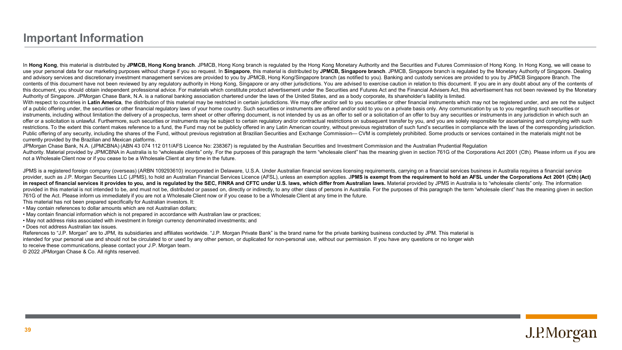### **Important Information**

In Hong Kong, this material is distributed by JPMCB, Hong Kong branch. JPMCB, Hong Kong branch is regulated by the Hong Kong Monetary Authority and the Securities and Futures Commission of Hong Kong. In Hong Kong, we will use your personal data for our marketing purposes without charge if you so request. In Singapore, this material is distributed by JPMCB, Singapore branch, JPMCB, Singapore branch is requiated by the Monetary Authority of S and advisory services and discretionary investment management services are provided to you by JPMCB. Hong Kong/Singapore branch (as notified to you). Banking and custody services are provided to you by JPMCB Singapore Bran contents of this document have not been reviewed by any regulatory authority in Hong Kong, Singapore or any other jurisdictions. You are advised to exercise caution in relation to this document. If you are in any doubt abo this document, you should obtain independent professional advice. For materials which constitute product advertisement under the Securities and Futures Act and the Financial Advisers Act, this advertisement has not been re Authority of Singapore. JPMorgan Chase Bank, N.A. is a national banking association chartered under the laws of the United States, and as a body corporate, its shareholder's liability is limited.

With respect to countries in Latin America, the distribution of this material may be restricted in certain jurisdictions. We may offer and/or sell to you securities or other financial instruments which may not be registere of a public offering under, the securities or other financial regulatory laws of your home country. Such securities or instruments are offered and/or sold to you on a private basis only. Any communication by us to you rega instruments, including without limitation the delivery of a prospectus, term sheet or other offering document, is not intended by us as an offer to sell or a solicitation of an offer to buy any securities or instruments in offer or a solicitation is unlawful. Furthermore, such securities or instruments may be subject to certain requlatory and/or contractual restrictions on subsequent transfer by you, and you are solely responsible for ascert restrictions. To the extent this content makes reference to a fund, the Fund may not be publicly offered in any Latin American country, without previous registration of such fund's securities in compliance with the laws of Public offering of any security, including the shares of the Fund, without previous registration at Brazilian Securities and Exchange Commission—CVM is completely prohibited. Some products or services contained in the mate currently provided by the Brazilian and Mexican platforms.

JPMorgan Chase Bank, N.A. (JPMCBNA) (ABN 43 074 112 011/AFS Licence No: 238367) is regulated by the Australian Securities and Investment Commission and the Australian Prudential Regulation Authority. Material provided by JPMCBNA in Australia is to "wholesale clients" only. For the purposes of this paragraph the term "wholesale client" has the meaning given in section 761G of the Corporations Act 2001 (Cth). not a Wholesale Client now or if you cease to be a Wholesale Client at any time in the future.

JPMS is a registered foreign company (overseas) (ARBN 109293610) incorporated in Delaware, U.S.A. Under Australian financial services licensing requirements, carrying on a financial services business in Australia requires provider, such as J.P. Morgan Securities LLC (JPMS), to hold an Australian Financial Services Licence (AFSL), unless an exemption applies. JPMS is exempt from the requirement to hold an AFSL under the Corporations Act 2001 in respect of financial services it provides to you, and is regulated by the SEC, FINRA and CFTC under U.S. laws, which differ from Australian laws. Material provided by JPMS in Australia is to "wholesale clients" only. Th provided in this material is not intended to be, and must not be, distributed or passed on, directly or indirectly, to any other class of persons in Australia. For the purposes of this paragraph the term "wholesale client" 761G of the Act. Please inform us immediately if you are not a Wholesale Client now or if you cease to be a Wholesale Client at any time in the future.

This material has not been prepared specifically for Australian investors. It:

• May contain references to dollar amounts which are not Australian dollars;

• May contain financial information which is not prepared in accordance with Australian law or practices;

• May not address risks associated with investment in foreign currency denominated investments; and

• Does not address Australian tax issues.

References to "J.P. Morgan" are to JPM, its subsidiaries and affiliates worldwide. "J.P. Morgan Private Bank" is the brand name for the private banking business conducted by JPM. This material is intended for your personal use and should not be circulated to or used by any other person, or duplicated for non-personal use, without our permission. If you have any questions or no longer wish to receive these communications, please contact your J.P. Morgan team.

© 2022 JPMorgan Chase & Co. All rights reserved.